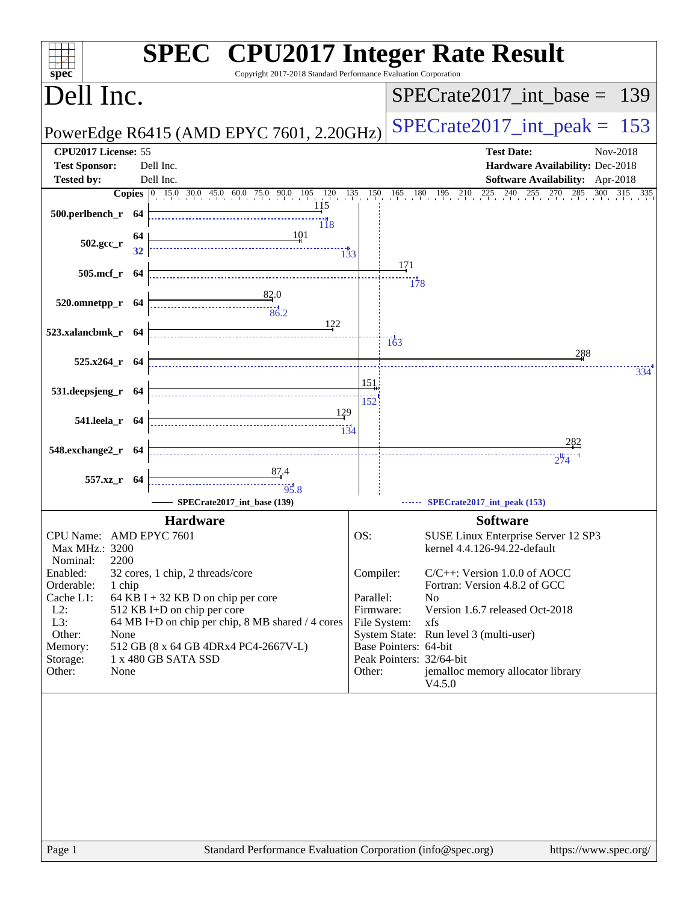| $spec^*$                                                      |    | <b>SPEC<sup>®</sup></b> CPU2017 Integer Rate Result<br>Copyright 2017-2018 Standard Performance Evaluation Corporation |                        |                       |                                                                                                                                                                                                                   |
|---------------------------------------------------------------|----|------------------------------------------------------------------------------------------------------------------------|------------------------|-----------------------|-------------------------------------------------------------------------------------------------------------------------------------------------------------------------------------------------------------------|
| Dell Inc.                                                     |    |                                                                                                                        |                        |                       | $SPECrate2017\_int\_base = 139$                                                                                                                                                                                   |
|                                                               |    | PowerEdge R6415 (AMD EPYC 7601, 2.20GHz)                                                                               |                        |                       | $SPECrate2017\_int\_peak = 153$                                                                                                                                                                                   |
| CPU2017 License: 55                                           |    |                                                                                                                        |                        |                       | <b>Test Date:</b><br>Nov-2018                                                                                                                                                                                     |
| <b>Test Sponsor:</b>                                          |    | Dell Inc.                                                                                                              |                        |                       | Hardware Availability: Dec-2018                                                                                                                                                                                   |
| Tested by:                                                    |    | Dell Inc.                                                                                                              |                        |                       | Software Availability: Apr-2018<br><b>Copies</b> $\begin{bmatrix} 0 & 15 & 030 & 45 & 60 & 75 & 90 & 105 & 120 & 135 & 150 & 165 & 180 & 195 & 210 & 225 & 240 & 255 & 270 & 285 & 300 & 315 & 335 \end{bmatrix}$ |
| $500.$ perlbench_r 64                                         |    | 115<br>118                                                                                                             |                        |                       |                                                                                                                                                                                                                   |
| 502.gcc_r                                                     | 64 |                                                                                                                        |                        |                       |                                                                                                                                                                                                                   |
| 505.mcf_r 64                                                  |    |                                                                                                                        |                        | 171<br>178            |                                                                                                                                                                                                                   |
| $520.0$ mnetpp_r $64$                                         |    | $\begin{array}{c}\n 82.0 \\  \overline{82.0} \\  86.2\n\end{array}$                                                    |                        |                       |                                                                                                                                                                                                                   |
| 523.xalancbmk_r 64                                            |    | 122                                                                                                                    |                        | $\frac{1}{163}$       | 288                                                                                                                                                                                                               |
| $525.x264$ r 64                                               |    |                                                                                                                        |                        |                       |                                                                                                                                                                                                                   |
| 531.deepsjeng_r 64                                            |    |                                                                                                                        | 151<br>152             |                       | 334                                                                                                                                                                                                               |
| 541.leela_r 64                                                |    | 129<br>$\frac{1}{134}$                                                                                                 |                        |                       |                                                                                                                                                                                                                   |
| 548.exchange2_r 64                                            |    |                                                                                                                        |                        |                       |                                                                                                                                                                                                                   |
|                                                               |    |                                                                                                                        |                        |                       | 274                                                                                                                                                                                                               |
| 557.xz_r 64                                                   |    |                                                                                                                        |                        |                       |                                                                                                                                                                                                                   |
|                                                               |    | SPECrate2017_int_base (139)                                                                                            |                        |                       | SPECrate2017_int_peak (153)                                                                                                                                                                                       |
|                                                               |    | <b>Hardware</b>                                                                                                        |                        |                       | <b>Software</b>                                                                                                                                                                                                   |
| CPU Name: AMD EPYC 7601<br>Max MHz.: 3200<br>2200<br>Nominal: |    |                                                                                                                        | OS:                    |                       | SUSE Linux Enterprise Server 12 SP3<br>kernel 4.4.126-94.22-default                                                                                                                                               |
| Enabled:<br>1 chip<br>Orderable:                              |    | 32 cores, 1 chip, 2 threads/core                                                                                       | Compiler:              |                       | $C/C++$ : Version 1.0.0 of AOCC<br>Fortran: Version 4.8.2 of GCC                                                                                                                                                  |
| Cache L1:<br>$L2$ :                                           |    | 64 KB I + 32 KB D on chip per core<br>512 KB I+D on chip per core                                                      | Parallel:<br>Firmware: |                       | N <sub>0</sub><br>Version 1.6.7 released Oct-2018                                                                                                                                                                 |
| L3:                                                           |    | 64 MB I+D on chip per chip, 8 MB shared / 4 cores                                                                      |                        | File System:          | xfs                                                                                                                                                                                                               |
| Other:<br>None<br>Memory:                                     |    | 512 GB (8 x 64 GB 4DRx4 PC4-2667V-L)                                                                                   |                        | Base Pointers: 64-bit | System State: Run level 3 (multi-user)                                                                                                                                                                            |
| Storage:<br>Other:<br>None                                    |    | 1 x 480 GB SATA SSD                                                                                                    | Other:                 |                       | Peak Pointers: 32/64-bit<br>jemalloc memory allocator library<br>V4.5.0                                                                                                                                           |
|                                                               |    |                                                                                                                        |                        |                       |                                                                                                                                                                                                                   |
| Page 1                                                        |    | Standard Performance Evaluation Corporation (info@spec.org)                                                            |                        |                       | https://www.spec.org/                                                                                                                                                                                             |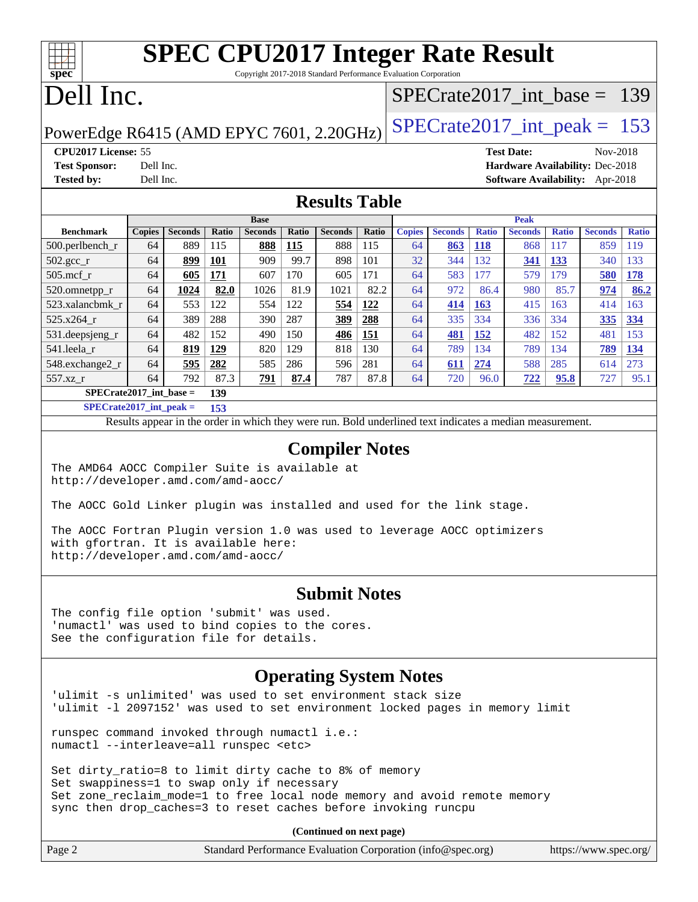| <b>SPEC CPU2017 Integer Rate Result</b><br>$\frac{1}{\text{spec}^*}$<br>Copyright 2017-2018 Standard Performance Evaluation Corporation |                               |  |  |  |  |
|-----------------------------------------------------------------------------------------------------------------------------------------|-------------------------------|--|--|--|--|
| Dell Inc.                                                                                                                               | SPECrate2017 int base = $139$ |  |  |  |  |
| PowerEdge R6415 (AMD EPYC 7601, 2.20GHz) SPECrate2017_int_peak = 153                                                                    |                               |  |  |  |  |

**[CPU2017 License:](http://www.spec.org/auto/cpu2017/Docs/result-fields.html#CPU2017License)** 55 **[Test Date:](http://www.spec.org/auto/cpu2017/Docs/result-fields.html#TestDate)** Nov-2018 **[Test Sponsor:](http://www.spec.org/auto/cpu2017/Docs/result-fields.html#TestSponsor)** Dell Inc. **[Hardware Availability:](http://www.spec.org/auto/cpu2017/Docs/result-fields.html#HardwareAvailability)** Dec-2018 **[Tested by:](http://www.spec.org/auto/cpu2017/Docs/result-fields.html#Testedby)** Dell Inc. **[Software Availability:](http://www.spec.org/auto/cpu2017/Docs/result-fields.html#SoftwareAvailability)** Apr-2018

#### **[Results Table](http://www.spec.org/auto/cpu2017/Docs/result-fields.html#ResultsTable)**

|                           | <b>Base</b>   |                |            |                | <b>Peak</b>  |                |              |               |                |              |                |              |                |              |
|---------------------------|---------------|----------------|------------|----------------|--------------|----------------|--------------|---------------|----------------|--------------|----------------|--------------|----------------|--------------|
| <b>Benchmark</b>          | <b>Copies</b> | <b>Seconds</b> | Ratio      | <b>Seconds</b> | <b>Ratio</b> | <b>Seconds</b> | <b>Ratio</b> | <b>Copies</b> | <b>Seconds</b> | <b>Ratio</b> | <b>Seconds</b> | <b>Ratio</b> | <b>Seconds</b> | <b>Ratio</b> |
| $500$ .perlbench r        | 64            | 889            | 115        | 888            | 115          | 888            | 115          | 64            | 863            | <u>118</u>   | 868            | 117          | 859            | 119          |
| 502.gcc_r                 | 64            | 899            | <b>101</b> | 909            | 99.7         | 898            | 101          | 32            | 344            | 132          | 341            | 133          | 340            | 133          |
| $505$ .mcf r              | 64            | 605            | 171        | 607            | 170          | 605            | 171          | 64            | 583            | 177          | 579            | 179          | 580            | <b>178</b>   |
| 520.omnetpp_r             | 64            | 1024           | 82.0       | 1026           | 81.9         | 1021           | 82.2         | 64            | 972            | 86.4         | 980            | 85.7         | 974            | 86.2         |
| 523.xalancbmk r           | 64            | 553            | 122        | 554            | 122          | 554            | 122          | 64            | 414            | 163          | 415            | 163          | 414            | 163          |
| 525.x264 r                | 64            | 389            | 288        | 390            | 287          | 389            | 288          | 64            | 335            | 334          | 336            | 334          | 335            | 334          |
| 531.deepsjeng_r           | 64            | 482            | 152        | 490            | 150          | 486            | 151          | 64            | 481            | 152          | 482            | 152          | 481            | 153          |
| 541.leela r               | 64            | 819            | 129        | 820            | 129          | 818            | 130          | 64            | 789            | 134          | 789            | 134          | 789            | 134          |
| 548.exchange2_r           | 64            | 595            | 282        | 585            | 286          | 596            | 281          | 64            | 611            | 274          | 588            | 285          | 614            | 273          |
| 557.xz r                  | 64            | 792            | 87.3       | 791            | 87.4         | 787            | 87.8         | 64            | 720            | 96.0         | 722            | 95.8         | 727            | 95.1         |
| $SPECrate2017$ int base = |               |                | 139        |                |              |                |              |               |                |              |                |              |                |              |

**[SPECrate2017\\_int\\_peak =](http://www.spec.org/auto/cpu2017/Docs/result-fields.html#SPECrate2017intpeak) 153**

Results appear in the [order in which they were run.](http://www.spec.org/auto/cpu2017/Docs/result-fields.html#RunOrder) Bold underlined text [indicates a median measurement.](http://www.spec.org/auto/cpu2017/Docs/result-fields.html#Median)

#### **[Compiler Notes](http://www.spec.org/auto/cpu2017/Docs/result-fields.html#CompilerNotes)**

The AMD64 AOCC Compiler Suite is available at <http://developer.amd.com/amd-aocc/>

The AOCC Gold Linker plugin was installed and used for the link stage.

The AOCC Fortran Plugin version 1.0 was used to leverage AOCC optimizers with gfortran. It is available here: <http://developer.amd.com/amd-aocc/>

#### **[Submit Notes](http://www.spec.org/auto/cpu2017/Docs/result-fields.html#SubmitNotes)**

The config file option 'submit' was used. 'numactl' was used to bind copies to the cores. See the configuration file for details.

#### **[Operating System Notes](http://www.spec.org/auto/cpu2017/Docs/result-fields.html#OperatingSystemNotes)**

'ulimit -s unlimited' was used to set environment stack size 'ulimit -l 2097152' was used to set environment locked pages in memory limit

runspec command invoked through numactl i.e.: numactl --interleave=all runspec <etc>

Set dirty\_ratio=8 to limit dirty cache to 8% of memory Set swappiness=1 to swap only if necessary Set zone\_reclaim\_mode=1 to free local node memory and avoid remote memory sync then drop\_caches=3 to reset caches before invoking runcpu

**(Continued on next page)**

| Page 2 | Standard Performance Evaluation Corporation (info@spec.org) | https://www.spec.org/ |
|--------|-------------------------------------------------------------|-----------------------|
|--------|-------------------------------------------------------------|-----------------------|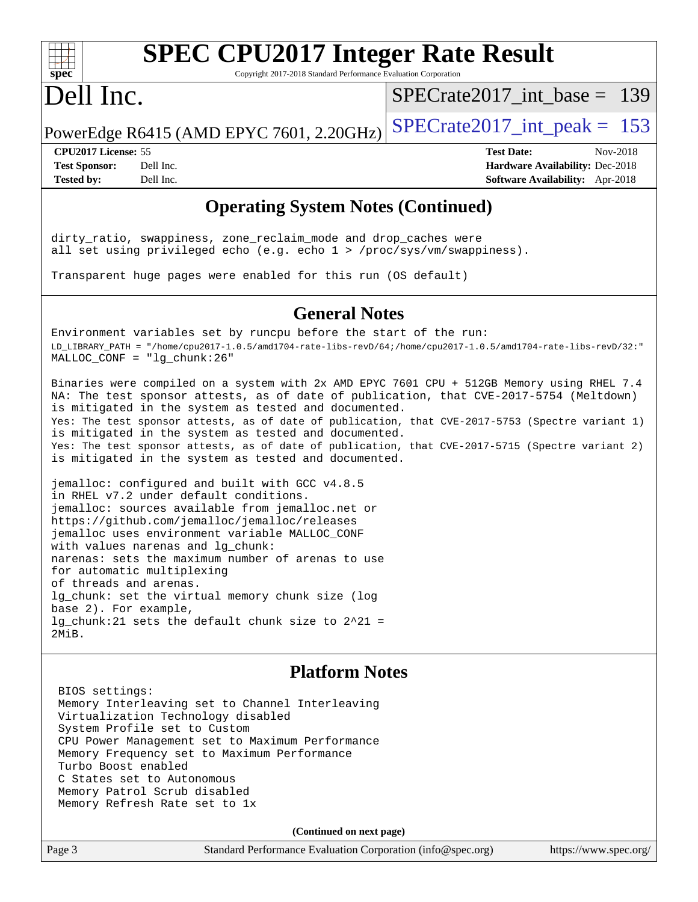

# **[SPEC CPU2017 Integer Rate Result](http://www.spec.org/auto/cpu2017/Docs/result-fields.html#SPECCPU2017IntegerRateResult)**

Copyright 2017-2018 Standard Performance Evaluation Corporation

### Dell Inc.

[SPECrate2017\\_int\\_base =](http://www.spec.org/auto/cpu2017/Docs/result-fields.html#SPECrate2017intbase) 139

PowerEdge R6415 (AMD EPYC 7601, 2.20GHz) SPECrate  $2017$  int peak = 153

**[CPU2017 License:](http://www.spec.org/auto/cpu2017/Docs/result-fields.html#CPU2017License)** 55 **[Test Date:](http://www.spec.org/auto/cpu2017/Docs/result-fields.html#TestDate)** Nov-2018

**[Test Sponsor:](http://www.spec.org/auto/cpu2017/Docs/result-fields.html#TestSponsor)** Dell Inc. **[Hardware Availability:](http://www.spec.org/auto/cpu2017/Docs/result-fields.html#HardwareAvailability)** Dec-2018 **[Tested by:](http://www.spec.org/auto/cpu2017/Docs/result-fields.html#Testedby)** Dell Inc. **[Software Availability:](http://www.spec.org/auto/cpu2017/Docs/result-fields.html#SoftwareAvailability)** Apr-2018

### **[Operating System Notes \(Continued\)](http://www.spec.org/auto/cpu2017/Docs/result-fields.html#OperatingSystemNotes)**

dirty\_ratio, swappiness, zone\_reclaim\_mode and drop\_caches were all set using privileged echo (e.g. echo 1 > /proc/sys/vm/swappiness).

Transparent huge pages were enabled for this run (OS default)

#### **[General Notes](http://www.spec.org/auto/cpu2017/Docs/result-fields.html#GeneralNotes)**

Environment variables set by runcpu before the start of the run: LD\_LIBRARY\_PATH = "/home/cpu2017-1.0.5/amd1704-rate-libs-revD/64;/home/cpu2017-1.0.5/amd1704-rate-libs-revD/32:" MALLOC\_CONF = "lg\_chunk:26"

Binaries were compiled on a system with 2x AMD EPYC 7601 CPU + 512GB Memory using RHEL 7.4 NA: The test sponsor attests, as of date of publication, that CVE-2017-5754 (Meltdown) is mitigated in the system as tested and documented. Yes: The test sponsor attests, as of date of publication, that CVE-2017-5753 (Spectre variant 1) is mitigated in the system as tested and documented. Yes: The test sponsor attests, as of date of publication, that CVE-2017-5715 (Spectre variant 2) is mitigated in the system as tested and documented.

jemalloc: configured and built with GCC v4.8.5 in RHEL v7.2 under default conditions. jemalloc: sources available from jemalloc.net or <https://github.com/jemalloc/jemalloc/releases> jemalloc uses environment variable MALLOC\_CONF with values narenas and lg\_chunk: narenas: sets the maximum number of arenas to use for automatic multiplexing of threads and arenas. lg\_chunk: set the virtual memory chunk size (log base 2). For example, lg\_chunk:21 sets the default chunk size to 2^21 = 2MiB.

#### **[Platform Notes](http://www.spec.org/auto/cpu2017/Docs/result-fields.html#PlatformNotes)**

 BIOS settings: Memory Interleaving set to Channel Interleaving Virtualization Technology disabled System Profile set to Custom CPU Power Management set to Maximum Performance Memory Frequency set to Maximum Performance Turbo Boost enabled C States set to Autonomous Memory Patrol Scrub disabled Memory Refresh Rate set to 1x

**(Continued on next page)**

Page 3 Standard Performance Evaluation Corporation [\(info@spec.org\)](mailto:info@spec.org) <https://www.spec.org/>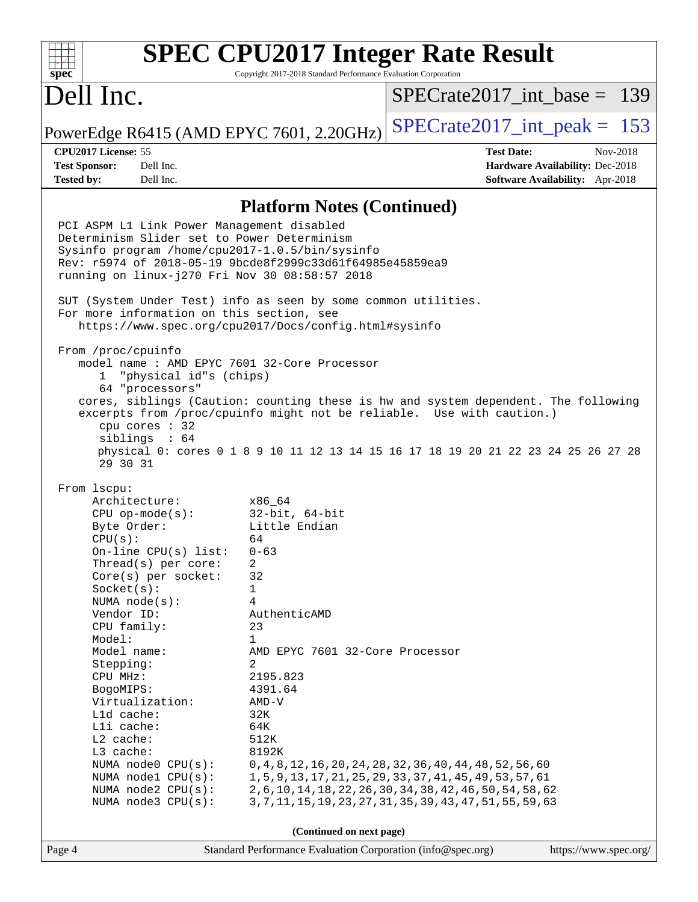#### **[SPEC CPU2017 Integer Rate Result](http://www.spec.org/auto/cpu2017/Docs/result-fields.html#SPECCPU2017IntegerRateResult)**  $+\ +$ **[spec](http://www.spec.org/)** Copyright 2017-2018 Standard Performance Evaluation Corporation Dell Inc. [SPECrate2017\\_int\\_base =](http://www.spec.org/auto/cpu2017/Docs/result-fields.html#SPECrate2017intbase) 139 PowerEdge R6415 (AMD EPYC 7601, 2.20GHz)  $\left|$  [SPECrate2017\\_int\\_peak =](http://www.spec.org/auto/cpu2017/Docs/result-fields.html#SPECrate2017intpeak) 153 **[CPU2017 License:](http://www.spec.org/auto/cpu2017/Docs/result-fields.html#CPU2017License)** 55 **[Test Date:](http://www.spec.org/auto/cpu2017/Docs/result-fields.html#TestDate)** Nov-2018 **[Test Sponsor:](http://www.spec.org/auto/cpu2017/Docs/result-fields.html#TestSponsor)** Dell Inc. **[Hardware Availability:](http://www.spec.org/auto/cpu2017/Docs/result-fields.html#HardwareAvailability)** Dec-2018 **[Tested by:](http://www.spec.org/auto/cpu2017/Docs/result-fields.html#Testedby)** Dell Inc. **[Software Availability:](http://www.spec.org/auto/cpu2017/Docs/result-fields.html#SoftwareAvailability)** Apr-2018 **[Platform Notes \(Continued\)](http://www.spec.org/auto/cpu2017/Docs/result-fields.html#PlatformNotes)** PCI ASPM L1 Link Power Management disabled Determinism Slider set to Power Determinism Sysinfo program /home/cpu2017-1.0.5/bin/sysinfo Rev: r5974 of 2018-05-19 9bcde8f2999c33d61f64985e45859ea9 running on linux-j270 Fri Nov 30 08:58:57 2018 SUT (System Under Test) info as seen by some common utilities. For more information on this section, see <https://www.spec.org/cpu2017/Docs/config.html#sysinfo> From /proc/cpuinfo model name : AMD EPYC 7601 32-Core Processor 1 "physical id"s (chips) 64 "processors" cores, siblings (Caution: counting these is hw and system dependent. The following excerpts from /proc/cpuinfo might not be reliable. Use with caution.) cpu cores : 32 siblings : 64 physical 0: cores 0 1 8 9 10 11 12 13 14 15 16 17 18 19 20 21 22 23 24 25 26 27 28 29 30 31 From lscpu: Architecture: x86\_64 CPU op-mode(s): 32-bit, 64-bit Byte Order: Little Endian  $CPU(s):$  64 On-line CPU(s) list: 0-63 Thread(s) per core: 2 Core(s) per socket: 32 Socket(s): 1 NUMA node(s): 4 Vendor ID: AuthenticAMD CPU family: 23 Model: 1 Model name: AMD EPYC 7601 32-Core Processor Stepping: 2 CPU MHz: 2195.823 BogoMIPS: 4391.64 Virtualization: AMD-V L1d cache: 32K L1i cache: 64K L2 cache: 512K L3 cache: 8192K NUMA node0 CPU(s): 0,4,8,12,16,20,24,28,32,36,40,44,48,52,56,60 NUMA node1 CPU(s): 1,5,9,13,17,21,25,29,33,37,41,45,49,53,57,61 NUMA node2 CPU(s): 2,6,10,14,18,22,26,30,34,38,42,46,50,54,58,62 NUMA node3 CPU(s): 3,7,11,15,19,23,27,31,35,39,43,47,51,55,59,63 **(Continued on next page)**Page 4 Standard Performance Evaluation Corporation [\(info@spec.org\)](mailto:info@spec.org) <https://www.spec.org/>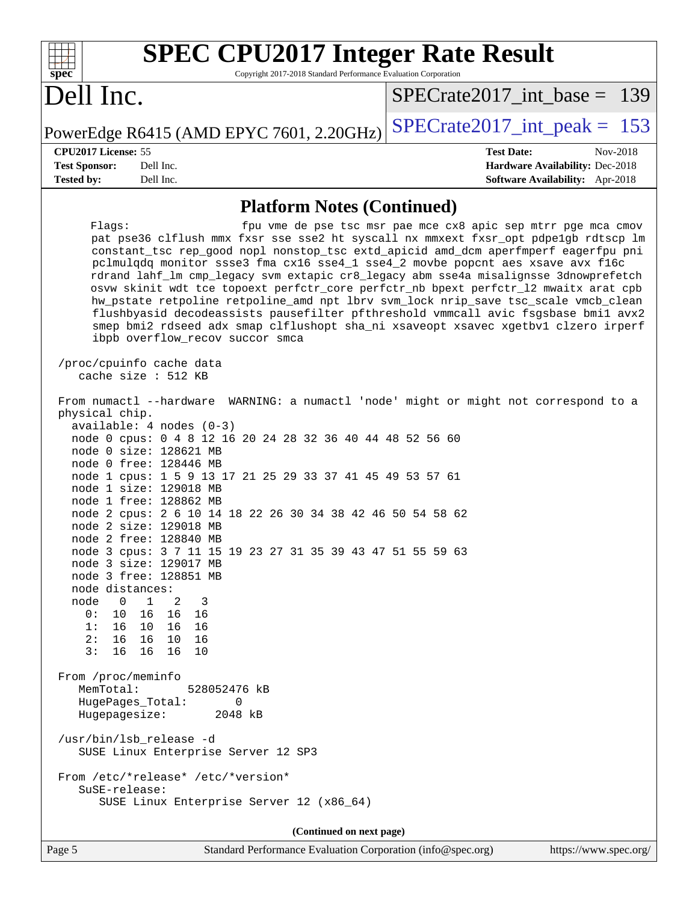| <b>SPEC CPU2017 Integer Rate Result</b><br>spec<br>Copyright 2017-2018 Standard Performance Evaluation Corporation                                                                                                                                                                                                                                                                                                                                                                                                                                                                                                                                                                                                                                                                                                                                                                                                                                                      |                                                               |  |  |  |  |
|-------------------------------------------------------------------------------------------------------------------------------------------------------------------------------------------------------------------------------------------------------------------------------------------------------------------------------------------------------------------------------------------------------------------------------------------------------------------------------------------------------------------------------------------------------------------------------------------------------------------------------------------------------------------------------------------------------------------------------------------------------------------------------------------------------------------------------------------------------------------------------------------------------------------------------------------------------------------------|---------------------------------------------------------------|--|--|--|--|
| Dell Inc.                                                                                                                                                                                                                                                                                                                                                                                                                                                                                                                                                                                                                                                                                                                                                                                                                                                                                                                                                               | $SPECrate2017\_int\_base = 139$                               |  |  |  |  |
| PowerEdge R6415 (AMD EPYC 7601, 2.20GHz)                                                                                                                                                                                                                                                                                                                                                                                                                                                                                                                                                                                                                                                                                                                                                                                                                                                                                                                                | $SPECrate2017\_int\_peak = 153$                               |  |  |  |  |
| CPU2017 License: 55                                                                                                                                                                                                                                                                                                                                                                                                                                                                                                                                                                                                                                                                                                                                                                                                                                                                                                                                                     | <b>Test Date:</b><br>Nov-2018                                 |  |  |  |  |
| <b>Test Sponsor:</b><br>Dell Inc.                                                                                                                                                                                                                                                                                                                                                                                                                                                                                                                                                                                                                                                                                                                                                                                                                                                                                                                                       | Hardware Availability: Dec-2018                               |  |  |  |  |
| <b>Tested by:</b><br>Dell Inc.                                                                                                                                                                                                                                                                                                                                                                                                                                                                                                                                                                                                                                                                                                                                                                                                                                                                                                                                          | Software Availability: Apr-2018                               |  |  |  |  |
| <b>Platform Notes (Continued)</b>                                                                                                                                                                                                                                                                                                                                                                                                                                                                                                                                                                                                                                                                                                                                                                                                                                                                                                                                       |                                                               |  |  |  |  |
| Flags:<br>pat pse36 clflush mmx fxsr sse sse2 ht syscall nx mmxext fxsr_opt pdpe1gb rdtscp lm<br>constant_tsc rep_good nopl nonstop_tsc extd_apicid amd_dcm aperfmperf eagerfpu pni<br>pclmulqdq monitor ssse3 fma cx16 sse4_1 sse4_2 movbe popcnt aes xsave avx f16c<br>rdrand lahf_lm cmp_legacy svm extapic cr8_legacy abm sse4a misalignsse 3dnowprefetch<br>osvw skinit wdt tce topoext perfctr_core perfctr_nb bpext perfctr_12 mwaitx arat cpb<br>hw_pstate retpoline retpoline_amd npt lbrv svm_lock nrip_save tsc_scale vmcb_clean<br>flushbyasid decodeassists pausefilter pfthreshold vmmcall avic fsgsbase bmil avx2<br>smep bmi2 rdseed adx smap clflushopt sha_ni xsaveopt xsavec xgetbvl clzero irperf<br>ibpb overflow_recov succor smca<br>/proc/cpuinfo cache data                                                                                                                                                                                    | fpu vme de pse tsc msr pae mce cx8 apic sep mtrr pge mca cmov |  |  |  |  |
| cache size : 512 KB<br>From numactl --hardware WARNING: a numactl 'node' might or might not correspond to a<br>physical chip.<br>$available: 4 nodes (0-3)$<br>node 0 cpus: 0 4 8 12 16 20 24 28 32 36 40 44 48 52 56 60<br>node 0 size: 128621 MB<br>node 0 free: 128446 MB<br>node 1 cpus: 1 5 9 13 17 21 25 29 33 37 41 45 49 53 57 61<br>node 1 size: 129018 MB<br>node 1 free: 128862 MB<br>node 2 cpus: 2 6 10 14 18 22 26 30 34 38 42 46 50 54 58 62<br>node 2 size: 129018 MB<br>node 2 free: 128840 MB<br>node 3 cpus: 3 7 11 15 19 23 27 31 35 39 43 47 51 55 59 63<br>node 3 size: 129017 MB<br>node 3 free: 128851 MB<br>node distances:<br>node<br>0<br>1<br>2<br>3<br>16 16<br>16<br>0 :<br>10<br>16<br>10 16<br>16<br>1:<br>2:<br>16 10<br>16<br>16<br>3:<br>16<br>16 16<br>10<br>From /proc/meminfo<br>MemTotal:<br>528052476 kB<br>HugePages_Total:<br>0<br>2048 kB<br>Hugepagesize:<br>/usr/bin/lsb_release -d<br>SUSE Linux Enterprise Server 12 SP3 |                                                               |  |  |  |  |
| SuSE-release:<br>SUSE Linux Enterprise Server 12 (x86_64)                                                                                                                                                                                                                                                                                                                                                                                                                                                                                                                                                                                                                                                                                                                                                                                                                                                                                                               |                                                               |  |  |  |  |
| (Continued on next page)                                                                                                                                                                                                                                                                                                                                                                                                                                                                                                                                                                                                                                                                                                                                                                                                                                                                                                                                                |                                                               |  |  |  |  |
| Standard Performance Evaluation Corporation (info@spec.org)<br>Page 5                                                                                                                                                                                                                                                                                                                                                                                                                                                                                                                                                                                                                                                                                                                                                                                                                                                                                                   | https://www.spec.org/                                         |  |  |  |  |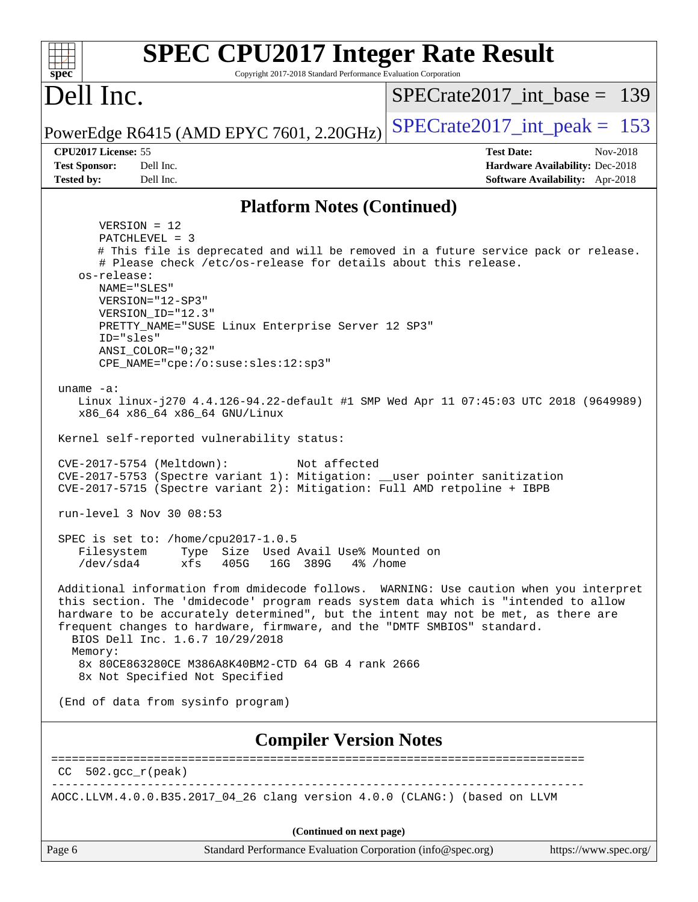| <b>SPEC CPU2017 Integer Rate Result</b><br>Copyright 2017-2018 Standard Performance Evaluation Corporation<br>spec <sup>®</sup>                                                                                                                                                                                                                                                                                                                                                                                                                                                                                                                                                                                                                                                                                                                                                                                                                                                                                                                                                                                                                                                                                                                                                                                                                                                                                                                                                                                  |                                                                                                            |
|------------------------------------------------------------------------------------------------------------------------------------------------------------------------------------------------------------------------------------------------------------------------------------------------------------------------------------------------------------------------------------------------------------------------------------------------------------------------------------------------------------------------------------------------------------------------------------------------------------------------------------------------------------------------------------------------------------------------------------------------------------------------------------------------------------------------------------------------------------------------------------------------------------------------------------------------------------------------------------------------------------------------------------------------------------------------------------------------------------------------------------------------------------------------------------------------------------------------------------------------------------------------------------------------------------------------------------------------------------------------------------------------------------------------------------------------------------------------------------------------------------------|------------------------------------------------------------------------------------------------------------|
| Dell Inc.                                                                                                                                                                                                                                                                                                                                                                                                                                                                                                                                                                                                                                                                                                                                                                                                                                                                                                                                                                                                                                                                                                                                                                                                                                                                                                                                                                                                                                                                                                        | $SPECrate2017$ int base = 139                                                                              |
| PowerEdge R6415 (AMD EPYC 7601, 2.20GHz)                                                                                                                                                                                                                                                                                                                                                                                                                                                                                                                                                                                                                                                                                                                                                                                                                                                                                                                                                                                                                                                                                                                                                                                                                                                                                                                                                                                                                                                                         | $SPECrate2017\_int\_peak = 153$                                                                            |
| CPU2017 License: 55<br><b>Test Sponsor:</b><br>Dell Inc.<br><b>Tested by:</b><br>Dell Inc.                                                                                                                                                                                                                                                                                                                                                                                                                                                                                                                                                                                                                                                                                                                                                                                                                                                                                                                                                                                                                                                                                                                                                                                                                                                                                                                                                                                                                       | <b>Test Date:</b><br>Nov-2018<br>Hardware Availability: Dec-2018<br><b>Software Availability:</b> Apr-2018 |
| <b>Platform Notes (Continued)</b>                                                                                                                                                                                                                                                                                                                                                                                                                                                                                                                                                                                                                                                                                                                                                                                                                                                                                                                                                                                                                                                                                                                                                                                                                                                                                                                                                                                                                                                                                |                                                                                                            |
| $VERSION = 12$<br>PATCHLEVEL = 3<br># This file is deprecated and will be removed in a future service pack or release.<br># Please check /etc/os-release for details about this release.<br>os-release:<br>NAME="SLES"<br>VERSION="12-SP3"<br>VERSION ID="12.3"<br>PRETTY_NAME="SUSE Linux Enterprise Server 12 SP3"<br>ID="sles"<br>$ANSI$ _COLOR=" $0:32$ "<br>CPE_NAME="cpe:/o:suse:sles:12:sp3"<br>uname $-a$ :<br>Linux linux-j270 4.4.126-94.22-default #1 SMP Wed Apr 11 07:45:03 UTC 2018 (9649989)<br>x86_64 x86_64 x86_64 GNU/Linux<br>Kernel self-reported vulnerability status:<br>CVE-2017-5754 (Meltdown):<br>Not affected<br>CVE-2017-5753 (Spectre variant 1): Mitigation: __user pointer sanitization<br>CVE-2017-5715 (Spectre variant 2): Mitigation: Full AMD retpoline + IBPB<br>run-level 3 Nov 30 08:53<br>SPEC is set to: /home/cpu2017-1.0.5<br>Type Size Used Avail Use% Mounted on<br>Filesystem<br>/dev/sda4<br>xfs<br>405G<br>16G 389G<br>$4\%$ /home<br>Additional information from dmidecode follows. WARNING: Use caution when you interpret<br>this section. The 'dmidecode' program reads system data which is "intended to allow<br>hardware to be accurately determined", but the intent may not be met, as there are<br>frequent changes to hardware, firmware, and the "DMTF SMBIOS" standard.<br>BIOS Dell Inc. 1.6.7 10/29/2018<br>Memory:<br>8x 80CE863280CE M386A8K40BM2-CTD 64 GB 4 rank 2666<br>8x Not Specified Not Specified<br>(End of data from sysinfo program) |                                                                                                            |
| <b>Compiler Version Notes</b>                                                                                                                                                                                                                                                                                                                                                                                                                                                                                                                                                                                                                                                                                                                                                                                                                                                                                                                                                                                                                                                                                                                                                                                                                                                                                                                                                                                                                                                                                    |                                                                                                            |
| $CC 502.gcc_r (peak)$                                                                                                                                                                                                                                                                                                                                                                                                                                                                                                                                                                                                                                                                                                                                                                                                                                                                                                                                                                                                                                                                                                                                                                                                                                                                                                                                                                                                                                                                                            |                                                                                                            |
| AOCC.LLVM.4.0.0.B35.2017_04_26 clang version 4.0.0 (CLANG:) (based on LLVM                                                                                                                                                                                                                                                                                                                                                                                                                                                                                                                                                                                                                                                                                                                                                                                                                                                                                                                                                                                                                                                                                                                                                                                                                                                                                                                                                                                                                                       |                                                                                                            |
| (Continued on next page)                                                                                                                                                                                                                                                                                                                                                                                                                                                                                                                                                                                                                                                                                                                                                                                                                                                                                                                                                                                                                                                                                                                                                                                                                                                                                                                                                                                                                                                                                         |                                                                                                            |
| Page 6<br>Standard Performance Evaluation Corporation (info@spec.org)                                                                                                                                                                                                                                                                                                                                                                                                                                                                                                                                                                                                                                                                                                                                                                                                                                                                                                                                                                                                                                                                                                                                                                                                                                                                                                                                                                                                                                            | https://www.spec.org/                                                                                      |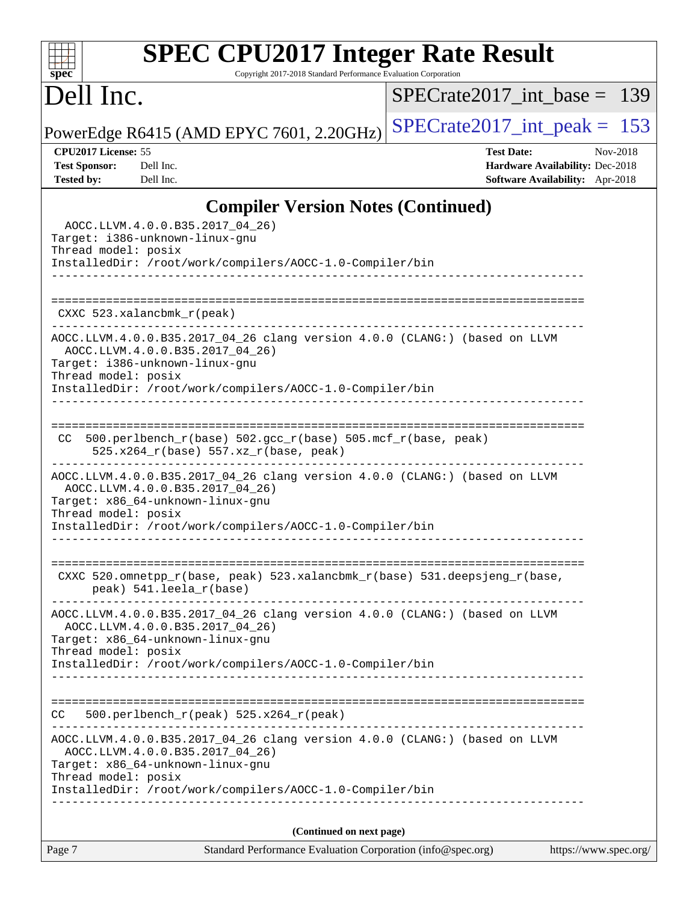### **[spec](http://www.spec.org/) [SPEC CPU2017 Integer Rate Result](http://www.spec.org/auto/cpu2017/Docs/result-fields.html#SPECCPU2017IntegerRateResult)** Copyright 2017-2018 Standard Performance Evaluation Corporation

Dell Inc.

 $+\ +$ 

[SPECrate2017\\_int\\_base =](http://www.spec.org/auto/cpu2017/Docs/result-fields.html#SPECrate2017intbase) 139

PowerEdge R6415 (AMD EPYC 7601, 2.20GHz) SPECrate  $2017$ \_int\_peak = 153

**[CPU2017 License:](http://www.spec.org/auto/cpu2017/Docs/result-fields.html#CPU2017License)** 55 **[Test Date:](http://www.spec.org/auto/cpu2017/Docs/result-fields.html#TestDate)** Nov-2018 **[Test Sponsor:](http://www.spec.org/auto/cpu2017/Docs/result-fields.html#TestSponsor)** Dell Inc. **[Hardware Availability:](http://www.spec.org/auto/cpu2017/Docs/result-fields.html#HardwareAvailability)** Dec-2018 **[Tested by:](http://www.spec.org/auto/cpu2017/Docs/result-fields.html#Testedby)** Dell Inc. **[Software Availability:](http://www.spec.org/auto/cpu2017/Docs/result-fields.html#SoftwareAvailability)** Apr-2018

### **[Compiler Version Notes \(Continued\)](http://www.spec.org/auto/cpu2017/Docs/result-fields.html#CompilerVersionNotes)**

| $\sim$ $\sim$ $\sim$ $\sim$ $\sim$ $\sim$ $\sim$<br>AOCC.LLVM.4.0.0.B35.2017_04_26)<br>Target: i386-unknown-linux-gnu<br>Thread model: posix                                                                                         |
|--------------------------------------------------------------------------------------------------------------------------------------------------------------------------------------------------------------------------------------|
| InstalledDir: /root/work/compilers/AOCC-1.0-Compiler/bin<br>-------------------------------                                                                                                                                          |
| $CXXC$ 523.xalancbmk $r(\text{peak})$                                                                                                                                                                                                |
| AOCC.LLVM.4.0.0.B35.2017_04_26 clang version 4.0.0 (CLANG:) (based on LLVM<br>AOCC.LLVM.4.0.0.B35.2017_04_26)<br>Target: i386-unknown-linux-gnu<br>Thread model: posix<br>InstalledDir: /root/work/compilers/AOCC-1.0-Compiler/bin   |
| 500.perlbench_r(base) 502.gcc_r(base) 505.mcf_r(base, peak)<br>CC.<br>$525.x264_r(base) 557.xz_r(base, peak)$<br>_________________________<br>------------------------                                                               |
| AOCC.LLVM.4.0.0.B35.2017_04_26 clang version 4.0.0 (CLANG:) (based on LLVM<br>AOCC.LLVM.4.0.0.B35.2017_04_26)<br>Target: x86_64-unknown-linux-gnu<br>Thread model: posix<br>InstalledDir: /root/work/compilers/AOCC-1.0-Compiler/bin |
| CXXC 520.omnetpp_r(base, peak) 523.xalancbmk_r(base) 531.deepsjeng_r(base,<br>peak) 541.leela_r(base)                                                                                                                                |
| AOCC.LLVM.4.0.0.B35.2017_04_26 clang version 4.0.0 (CLANG:) (based on LLVM<br>AOCC.LLVM.4.0.0.B35.2017_04_26)<br>Target: x86_64-unknown-linux-gnu<br>Thread model: posix<br>InstalledDir: /root/work/compilers/AOCC-1.0-Compiler/bin |
| 500.perlbench_r(peak) 525.x264_r(peak)<br>CC                                                                                                                                                                                         |
| AOCC.LLVM.4.0.0.B35.2017_04_26 clang version 4.0.0 (CLANG:) (based on LLVM<br>AOCC.LLVM.4.0.0.B35.2017 04 26)<br>Target: x86 64-unknown-linux-qnu<br>Thread model: posix<br>InstalledDir: /root/work/compilers/AOCC-1.0-Compiler/bin |
| (Continued on next page)                                                                                                                                                                                                             |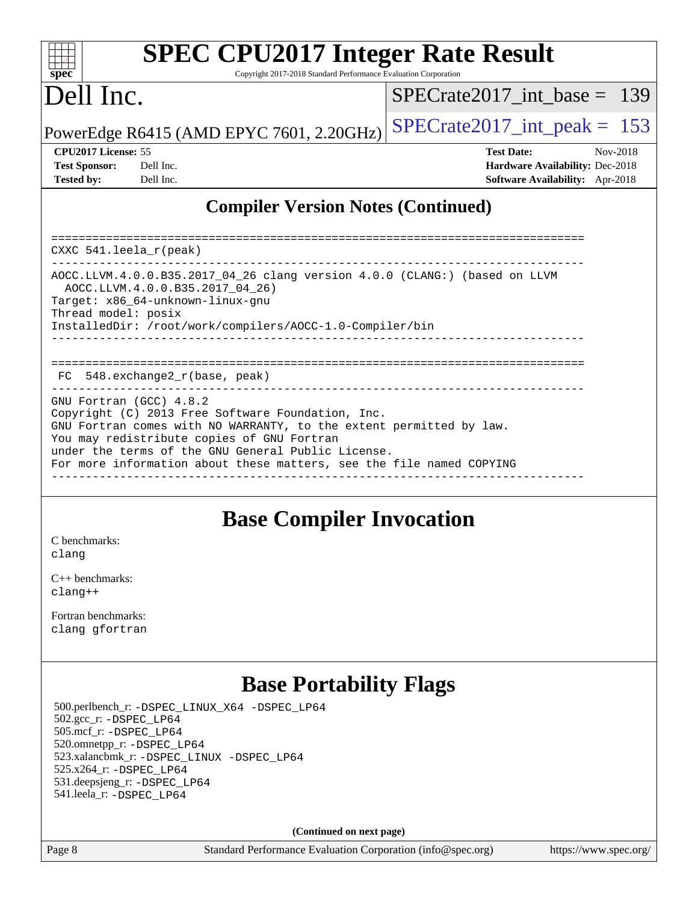# **[SPEC CPU2017 Integer Rate Result](http://www.spec.org/auto/cpu2017/Docs/result-fields.html#SPECCPU2017IntegerRateResult)**

Copyright 2017-2018 Standard Performance Evaluation Corporation

## Dell Inc.

[SPECrate2017\\_int\\_base =](http://www.spec.org/auto/cpu2017/Docs/result-fields.html#SPECrate2017intbase) 139

PowerEdge R6415 (AMD EPYC 7601, 2.20GHz) SPECrate  $2017$  int peak = 153

| <b>Test Sponsor:</b> | Dell Inc |
|----------------------|----------|
| <b>Tested by:</b>    | Dell Inc |

**[CPU2017 License:](http://www.spec.org/auto/cpu2017/Docs/result-fields.html#CPU2017License)** 55 **[Test Date:](http://www.spec.org/auto/cpu2017/Docs/result-fields.html#TestDate)** Nov-2018 **[Test Sponsor:](http://www.spec.org/auto/cpu2017/Docs/result-fields.html#TestSponsor)** Decree Sponsor: Decree Sponsor: **[Hardware Availability:](http://www.spec.org/auto/cpu2017/Docs/result-fields.html#HardwareAvailability)** Dec-2018 **[Tested by:](http://www.spec.org/auto/cpu2017/Docs/result-fields.html#Testedby) [Software Availability:](http://www.spec.org/auto/cpu2017/Docs/result-fields.html#SoftwareAvailability)** Apr-2018

### **[Compiler Version Notes \(Continued\)](http://www.spec.org/auto/cpu2017/Docs/result-fields.html#CompilerVersionNotes)**

============================================================================== CXXC 541.leela\_r(peak) ------------------------------------------------------------------------------ AOCC.LLVM.4.0.0.B35.2017\_04\_26 clang version 4.0.0 (CLANG:) (based on LLVM AOCC.LLVM.4.0.0.B35.2017\_04\_26) Target: x86\_64-unknown-linux-gnu Thread model: posix InstalledDir: /root/work/compilers/AOCC-1.0-Compiler/bin ------------------------------------------------------------------------------ ============================================================================== FC 548.exchange2\_r(base, peak) ------------------------------------------------------------------------------ GNU Fortran (GCC) 4.8.2 Copyright (C) 2013 Free Software Foundation, Inc. GNU Fortran comes with NO WARRANTY, to the extent permitted by law. You may redistribute copies of GNU Fortran under the terms of the GNU General Public License. For more information about these matters, see the file named COPYING ------------------------------------------------------------------------------

### **[Base Compiler Invocation](http://www.spec.org/auto/cpu2017/Docs/result-fields.html#BaseCompilerInvocation)**

[C benchmarks](http://www.spec.org/auto/cpu2017/Docs/result-fields.html#Cbenchmarks): [clang](http://www.spec.org/cpu2017/results/res2018q4/cpu2017-20181210-10172.flags.html#user_CCbase_Fclang3_a68b77bfed473bd9cdd22529af008e8306c2e3948617c8991604c1a2000ee4a73ef90dd8bc793e105fe4165a625d26dacbda4708d828ad19048918c071b363ec)

[C++ benchmarks:](http://www.spec.org/auto/cpu2017/Docs/result-fields.html#CXXbenchmarks) [clang++](http://www.spec.org/cpu2017/results/res2018q4/cpu2017-20181210-10172.flags.html#user_CXXbase_Fclang3_57a48582e5be507d19b2527b3e7d4f85d9b8669ffc9a8a0dbb9bcf949a918a58bbab411e0c4d14a3922022a3e425a90db94042683824c1806feff4324ca1000d)

[Fortran benchmarks](http://www.spec.org/auto/cpu2017/Docs/result-fields.html#Fortranbenchmarks): [clang](http://www.spec.org/cpu2017/results/res2018q4/cpu2017-20181210-10172.flags.html#user_FCbase_Fclang3_a68b77bfed473bd9cdd22529af008e8306c2e3948617c8991604c1a2000ee4a73ef90dd8bc793e105fe4165a625d26dacbda4708d828ad19048918c071b363ec) [gfortran](http://www.spec.org/cpu2017/results/res2018q4/cpu2017-20181210-10172.flags.html#user_FCbase_aocc-gfortran_128c91a56d61ddb07404721e65b8f9498c31a443dacbd3b7f212891090eca86e2d099b520f75b99e9e8ac4fdec01f4d15f0b65e47123ec4c42b0759045731a1f)

### **[Base Portability Flags](http://www.spec.org/auto/cpu2017/Docs/result-fields.html#BasePortabilityFlags)**

 500.perlbench\_r: [-DSPEC\\_LINUX\\_X64](http://www.spec.org/cpu2017/results/res2018q4/cpu2017-20181210-10172.flags.html#b500.perlbench_r_basePORTABILITY_DSPEC_LINUX_X64) [-DSPEC\\_LP64](http://www.spec.org/cpu2017/results/res2018q4/cpu2017-20181210-10172.flags.html#b500.perlbench_r_baseEXTRA_PORTABILITY_DSPEC_LP64) 502.gcc\_r: [-DSPEC\\_LP64](http://www.spec.org/cpu2017/results/res2018q4/cpu2017-20181210-10172.flags.html#suite_baseEXTRA_PORTABILITY502_gcc_r_DSPEC_LP64) 505.mcf\_r: [-DSPEC\\_LP64](http://www.spec.org/cpu2017/results/res2018q4/cpu2017-20181210-10172.flags.html#suite_baseEXTRA_PORTABILITY505_mcf_r_DSPEC_LP64) 520.omnetpp\_r: [-DSPEC\\_LP64](http://www.spec.org/cpu2017/results/res2018q4/cpu2017-20181210-10172.flags.html#suite_baseEXTRA_PORTABILITY520_omnetpp_r_DSPEC_LP64) 523.xalancbmk\_r: [-DSPEC\\_LINUX](http://www.spec.org/cpu2017/results/res2018q4/cpu2017-20181210-10172.flags.html#b523.xalancbmk_r_basePORTABILITY_DSPEC_LINUX) [-DSPEC\\_LP64](http://www.spec.org/cpu2017/results/res2018q4/cpu2017-20181210-10172.flags.html#suite_baseEXTRA_PORTABILITY523_xalancbmk_r_DSPEC_LP64) 525.x264\_r: [-DSPEC\\_LP64](http://www.spec.org/cpu2017/results/res2018q4/cpu2017-20181210-10172.flags.html#suite_baseEXTRA_PORTABILITY525_x264_r_DSPEC_LP64) 531.deepsjeng\_r: [-DSPEC\\_LP64](http://www.spec.org/cpu2017/results/res2018q4/cpu2017-20181210-10172.flags.html#suite_baseEXTRA_PORTABILITY531_deepsjeng_r_DSPEC_LP64) 541.leela\_r: [-DSPEC\\_LP64](http://www.spec.org/cpu2017/results/res2018q4/cpu2017-20181210-10172.flags.html#suite_baseEXTRA_PORTABILITY541_leela_r_DSPEC_LP64)

**(Continued on next page)**

Page 8 Standard Performance Evaluation Corporation [\(info@spec.org\)](mailto:info@spec.org) <https://www.spec.org/>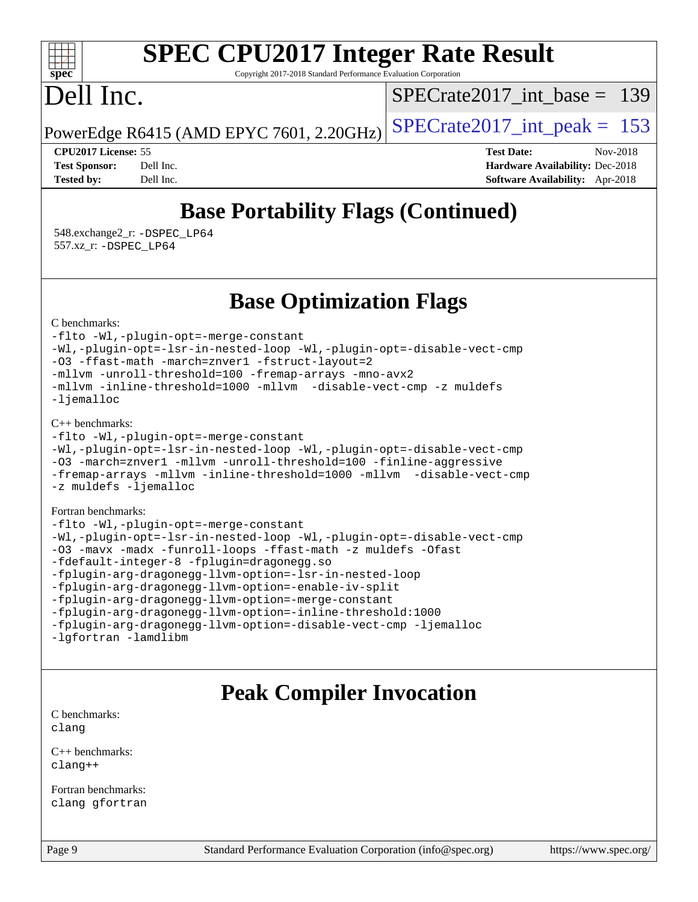#### $\pm\pm\tau$ **[spec](http://www.spec.org/)**

# **[SPEC CPU2017 Integer Rate Result](http://www.spec.org/auto/cpu2017/Docs/result-fields.html#SPECCPU2017IntegerRateResult)**

Copyright 2017-2018 Standard Performance Evaluation Corporation

## Dell Inc.

[SPECrate2017\\_int\\_base =](http://www.spec.org/auto/cpu2017/Docs/result-fields.html#SPECrate2017intbase) 139

PowerEdge R6415 (AMD EPYC 7601, 2.20GHz)  $\left|$  [SPECrate2017\\_int\\_peak =](http://www.spec.org/auto/cpu2017/Docs/result-fields.html#SPECrate2017intpeak) 153

**[CPU2017 License:](http://www.spec.org/auto/cpu2017/Docs/result-fields.html#CPU2017License)** 55 **[Test Date:](http://www.spec.org/auto/cpu2017/Docs/result-fields.html#TestDate)** Nov-2018 **[Test Sponsor:](http://www.spec.org/auto/cpu2017/Docs/result-fields.html#TestSponsor)** Dell Inc. **[Hardware Availability:](http://www.spec.org/auto/cpu2017/Docs/result-fields.html#HardwareAvailability)** Dec-2018 **[Tested by:](http://www.spec.org/auto/cpu2017/Docs/result-fields.html#Testedby)** Dell Inc. **[Software Availability:](http://www.spec.org/auto/cpu2017/Docs/result-fields.html#SoftwareAvailability)** Apr-2018

## **[Base Portability Flags \(Continued\)](http://www.spec.org/auto/cpu2017/Docs/result-fields.html#BasePortabilityFlags)**

 548.exchange2\_r: [-DSPEC\\_LP64](http://www.spec.org/cpu2017/results/res2018q4/cpu2017-20181210-10172.flags.html#suite_baseEXTRA_PORTABILITY548_exchange2_r_DSPEC_LP64) 557.xz\_r: [-DSPEC\\_LP64](http://www.spec.org/cpu2017/results/res2018q4/cpu2017-20181210-10172.flags.html#suite_baseEXTRA_PORTABILITY557_xz_r_DSPEC_LP64)

### **[Base Optimization Flags](http://www.spec.org/auto/cpu2017/Docs/result-fields.html#BaseOptimizationFlags)**

[C benchmarks](http://www.spec.org/auto/cpu2017/Docs/result-fields.html#Cbenchmarks):

[-flto](http://www.spec.org/cpu2017/results/res2018q4/cpu2017-20181210-10172.flags.html#user_CCbase_lto) [-Wl,-plugin-opt=-merge-constant](http://www.spec.org/cpu2017/results/res2018q4/cpu2017-20181210-10172.flags.html#user_CCbase_F-merge-constant_1d79771b5442061d9c8e05556c6b0c655e6c9e66f8c6936b0129d434b6acd2b1cf1b7cd2540d1570ff636111b08a6bc36e2e61fc34531f8ef7c1a34c57be1dbb) [-Wl,-plugin-opt=-lsr-in-nested-loop](http://www.spec.org/cpu2017/results/res2018q4/cpu2017-20181210-10172.flags.html#user_CCbase_lsr-in-nested-loop_1cff93fd95162f5e77640b5271e8bed680fb62b4a8d96fb8ab217ff3244646f1fbb342e31af83c263403bbf5249c7dc7732d5c86c3eab4cc8d32dcb7a6f33ca0) [-Wl,-plugin-opt=-disable-vect-cmp](http://www.spec.org/cpu2017/results/res2018q4/cpu2017-20181210-10172.flags.html#user_CCbase_disable-vect-cmp_1056b9a09b8ddc126e023b5f99ae33179ef568835465af9b7adeacf4b6480ff575c8aee439265bcfbcbf086f33f2fa5cca2bc4cf52b64c0cd2e10f6503cba02d) [-O3](http://www.spec.org/cpu2017/results/res2018q4/cpu2017-20181210-10172.flags.html#user_CCbase_F-O3) [-ffast-math](http://www.spec.org/cpu2017/results/res2018q4/cpu2017-20181210-10172.flags.html#user_CCbase_F-aocc-ffast-math_78dd175de6534c2005829757b9b0f2878e57b067cce6f7c443b2250ac68890960e2e1b320ca04b81ff7c62c6f87870ed05f06baf7875eea2990d38e3b73c71f1) [-march=znver1](http://www.spec.org/cpu2017/results/res2018q4/cpu2017-20181210-10172.flags.html#user_CCbase_F-march) [-fstruct-layout=2](http://www.spec.org/cpu2017/results/res2018q4/cpu2017-20181210-10172.flags.html#user_CCbase_F-fstruct-layout_a05ec02e17cdf7fe0c3950a6b005251b2b1e5e67af2b5298cf72714730c3d59ba290e75546b10aa22dac074c15ceaca36ae22c62cb51bcb2fbdc9dc4e7e222c4) [-mllvm -unroll-threshold=100](http://www.spec.org/cpu2017/results/res2018q4/cpu2017-20181210-10172.flags.html#user_CCbase_F-unroll-threshold_2755d0c78138845d361fa1543e3a063fffa198df9b3edf0cfb856bbc88a81e1769b12ac7a550c5d35197be55360db1a3f95a8d1304df999456cabf5120c45168) [-fremap-arrays](http://www.spec.org/cpu2017/results/res2018q4/cpu2017-20181210-10172.flags.html#user_CCbase_F-fremap-arrays) [-mno-avx2](http://www.spec.org/cpu2017/results/res2018q4/cpu2017-20181210-10172.flags.html#user_CCbase_F-mno-avx2) [-mllvm -inline-threshold=1000](http://www.spec.org/cpu2017/results/res2018q4/cpu2017-20181210-10172.flags.html#user_CCbase_inline-threshold_b7832241b0a6397e4ecdbaf0eb7defdc10f885c2a282fa3240fdc99844d543fda39cf8a4a9dccf68cf19b5438ac3b455264f478df15da0f4988afa40d8243bab) [-mllvm -disable-vect-cmp](http://www.spec.org/cpu2017/results/res2018q4/cpu2017-20181210-10172.flags.html#user_CCbase_disable-vect-cmp_d995c9eb800469498c6893dc847c54c903d59847b18cb2ac22011b9af7010c96d2d48d3c6b41246fe86945001509aa4dc528afb61cb238fd3b256a31781ea0cf) [-z muldefs](http://www.spec.org/cpu2017/results/res2018q4/cpu2017-20181210-10172.flags.html#user_CCbase_F-z-muldefs) [-ljemalloc](http://www.spec.org/cpu2017/results/res2018q4/cpu2017-20181210-10172.flags.html#user_CCbase_jemalloc-lib_d1249b907c500fa1c0672f44f562e3d0f79738ae9e3c4a9c376d49f265a04b9c99b167ecedbf6711b3085be911c67ff61f150a17b3472be731631ba4d0471706)

[C++ benchmarks:](http://www.spec.org/auto/cpu2017/Docs/result-fields.html#CXXbenchmarks)

```
-flto -Wl,-plugin-opt=-merge-constant
-Wl,-plugin-opt=-lsr-in-nested-loop -Wl,-plugin-opt=-disable-vect-cmp
-O3 -march=znver1 -mllvm -unroll-threshold=100 -finline-aggressive
-fremap-arrays -mllvm -inline-threshold=1000 -mllvm -disable-vect-cmp
-z muldefs -ljemalloc
```
[Fortran benchmarks](http://www.spec.org/auto/cpu2017/Docs/result-fields.html#Fortranbenchmarks):

```
-flto -Wl,-plugin-opt=-merge-constant
-Wl,-plugin-opt=-lsr-in-nested-loop -Wl,-plugin-opt=-disable-vect-cmp
-O3 -mavx -madx -funroll-loops -ffast-math -z muldefs -Ofast
-fdefault-integer-8 -fplugin=dragonegg.so
-fplugin-arg-dragonegg-llvm-option=-lsr-in-nested-loop
-fplugin-arg-dragonegg-llvm-option=-enable-iv-split
-fplugin-arg-dragonegg-llvm-option=-merge-constant
-fplugin-arg-dragonegg-llvm-option=-inline-threshold:1000
-fplugin-arg-dragonegg-llvm-option=-disable-vect-cmp -ljemalloc
-lgfortran -lamdlibm
```
### **[Peak Compiler Invocation](http://www.spec.org/auto/cpu2017/Docs/result-fields.html#PeakCompilerInvocation)**

[C benchmarks](http://www.spec.org/auto/cpu2017/Docs/result-fields.html#Cbenchmarks): [clang](http://www.spec.org/cpu2017/results/res2018q4/cpu2017-20181210-10172.flags.html#user_CCpeak_Fclang3_a68b77bfed473bd9cdd22529af008e8306c2e3948617c8991604c1a2000ee4a73ef90dd8bc793e105fe4165a625d26dacbda4708d828ad19048918c071b363ec)

[C++ benchmarks:](http://www.spec.org/auto/cpu2017/Docs/result-fields.html#CXXbenchmarks) [clang++](http://www.spec.org/cpu2017/results/res2018q4/cpu2017-20181210-10172.flags.html#user_CXXpeak_Fclang3_57a48582e5be507d19b2527b3e7d4f85d9b8669ffc9a8a0dbb9bcf949a918a58bbab411e0c4d14a3922022a3e425a90db94042683824c1806feff4324ca1000d)

[Fortran benchmarks](http://www.spec.org/auto/cpu2017/Docs/result-fields.html#Fortranbenchmarks): [clang](http://www.spec.org/cpu2017/results/res2018q4/cpu2017-20181210-10172.flags.html#user_FCpeak_Fclang3_a68b77bfed473bd9cdd22529af008e8306c2e3948617c8991604c1a2000ee4a73ef90dd8bc793e105fe4165a625d26dacbda4708d828ad19048918c071b363ec) [gfortran](http://www.spec.org/cpu2017/results/res2018q4/cpu2017-20181210-10172.flags.html#user_FCpeak_aocc-gfortran_128c91a56d61ddb07404721e65b8f9498c31a443dacbd3b7f212891090eca86e2d099b520f75b99e9e8ac4fdec01f4d15f0b65e47123ec4c42b0759045731a1f)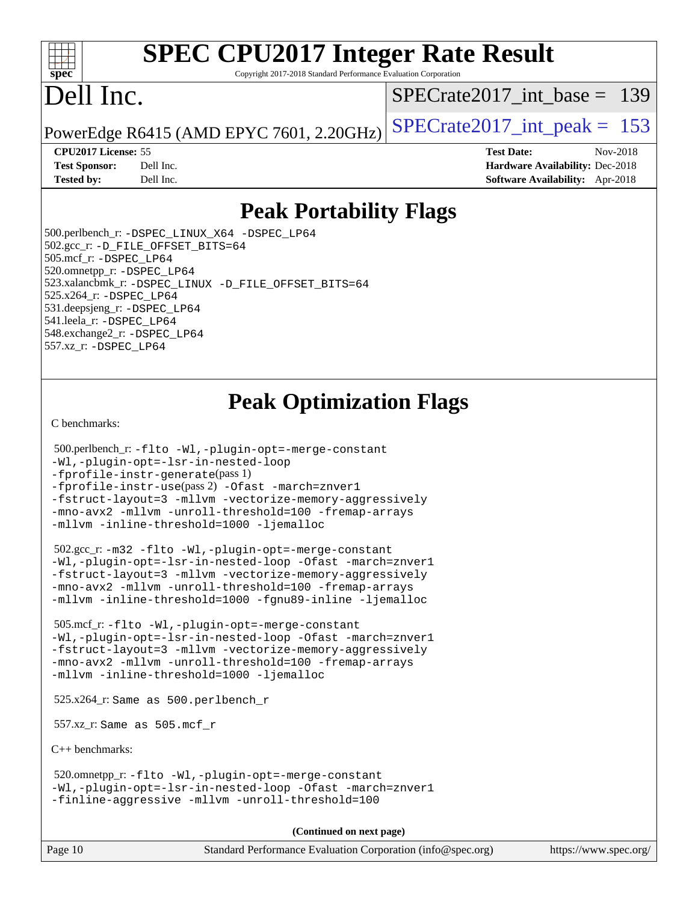#### $+\ +$ **[spec](http://www.spec.org/)**

# **[SPEC CPU2017 Integer Rate Result](http://www.spec.org/auto/cpu2017/Docs/result-fields.html#SPECCPU2017IntegerRateResult)**

Copyright 2017-2018 Standard Performance Evaluation Corporation

# Dell Inc.

[SPECrate2017\\_int\\_base =](http://www.spec.org/auto/cpu2017/Docs/result-fields.html#SPECrate2017intbase) 139

PowerEdge R6415 (AMD EPYC 7601, 2.20GHz)  $\left|$  [SPECrate2017\\_int\\_peak =](http://www.spec.org/auto/cpu2017/Docs/result-fields.html#SPECrate2017intpeak) 153

**[Tested by:](http://www.spec.org/auto/cpu2017/Docs/result-fields.html#Testedby)** Dell Inc. **[Software Availability:](http://www.spec.org/auto/cpu2017/Docs/result-fields.html#SoftwareAvailability)** Apr-2018

**[CPU2017 License:](http://www.spec.org/auto/cpu2017/Docs/result-fields.html#CPU2017License)** 55 **[Test Date:](http://www.spec.org/auto/cpu2017/Docs/result-fields.html#TestDate)** Nov-2018 **[Test Sponsor:](http://www.spec.org/auto/cpu2017/Docs/result-fields.html#TestSponsor)** Dell Inc. **[Hardware Availability:](http://www.spec.org/auto/cpu2017/Docs/result-fields.html#HardwareAvailability)** Dec-2018

### **[Peak Portability Flags](http://www.spec.org/auto/cpu2017/Docs/result-fields.html#PeakPortabilityFlags)**

 500.perlbench\_r: [-DSPEC\\_LINUX\\_X64](http://www.spec.org/cpu2017/results/res2018q4/cpu2017-20181210-10172.flags.html#b500.perlbench_r_peakPORTABILITY_DSPEC_LINUX_X64) [-DSPEC\\_LP64](http://www.spec.org/cpu2017/results/res2018q4/cpu2017-20181210-10172.flags.html#b500.perlbench_r_peakEXTRA_PORTABILITY_DSPEC_LP64) 502.gcc\_r: [-D\\_FILE\\_OFFSET\\_BITS=64](http://www.spec.org/cpu2017/results/res2018q4/cpu2017-20181210-10172.flags.html#user_peakEXTRA_PORTABILITY502_gcc_r_F-D_FILE_OFFSET_BITS_5ae949a99b284ddf4e95728d47cb0843d81b2eb0e18bdfe74bbf0f61d0b064f4bda2f10ea5eb90e1dcab0e84dbc592acfc5018bc955c18609f94ddb8d550002c) 505.mcf\_r: [-DSPEC\\_LP64](http://www.spec.org/cpu2017/results/res2018q4/cpu2017-20181210-10172.flags.html#suite_peakEXTRA_PORTABILITY505_mcf_r_DSPEC_LP64) 520.omnetpp\_r: [-DSPEC\\_LP64](http://www.spec.org/cpu2017/results/res2018q4/cpu2017-20181210-10172.flags.html#suite_peakEXTRA_PORTABILITY520_omnetpp_r_DSPEC_LP64) 523.xalancbmk\_r: [-DSPEC\\_LINUX](http://www.spec.org/cpu2017/results/res2018q4/cpu2017-20181210-10172.flags.html#b523.xalancbmk_r_peakPORTABILITY_DSPEC_LINUX) [-D\\_FILE\\_OFFSET\\_BITS=64](http://www.spec.org/cpu2017/results/res2018q4/cpu2017-20181210-10172.flags.html#user_peakEXTRA_PORTABILITY523_xalancbmk_r_F-D_FILE_OFFSET_BITS_5ae949a99b284ddf4e95728d47cb0843d81b2eb0e18bdfe74bbf0f61d0b064f4bda2f10ea5eb90e1dcab0e84dbc592acfc5018bc955c18609f94ddb8d550002c) 525.x264\_r: [-DSPEC\\_LP64](http://www.spec.org/cpu2017/results/res2018q4/cpu2017-20181210-10172.flags.html#suite_peakEXTRA_PORTABILITY525_x264_r_DSPEC_LP64) 531.deepsjeng\_r: [-DSPEC\\_LP64](http://www.spec.org/cpu2017/results/res2018q4/cpu2017-20181210-10172.flags.html#suite_peakEXTRA_PORTABILITY531_deepsjeng_r_DSPEC_LP64) 541.leela\_r: [-DSPEC\\_LP64](http://www.spec.org/cpu2017/results/res2018q4/cpu2017-20181210-10172.flags.html#suite_peakEXTRA_PORTABILITY541_leela_r_DSPEC_LP64) 548.exchange2\_r: [-DSPEC\\_LP64](http://www.spec.org/cpu2017/results/res2018q4/cpu2017-20181210-10172.flags.html#suite_peakEXTRA_PORTABILITY548_exchange2_r_DSPEC_LP64) 557.xz\_r: [-DSPEC\\_LP64](http://www.spec.org/cpu2017/results/res2018q4/cpu2017-20181210-10172.flags.html#suite_peakEXTRA_PORTABILITY557_xz_r_DSPEC_LP64)

## **[Peak Optimization Flags](http://www.spec.org/auto/cpu2017/Docs/result-fields.html#PeakOptimizationFlags)**

[C benchmarks](http://www.spec.org/auto/cpu2017/Docs/result-fields.html#Cbenchmarks):

```
 500.perlbench_r: -flto -Wl,-plugin-opt=-merge-constant
-Wl,-plugin-opt=-lsr-in-nested-loop
-fprofile-instr-generate(pass 1)
-fprofile-instr-use(pass 2) -Ofast -march=znver1
-fstruct-layout=3 -mllvm -vectorize-memory-aggressively
-mno-avx2 -mllvm -unroll-threshold=100 -fremap-arrays
-mllvm -inline-threshold=1000 -ljemalloc
```
 502.gcc\_r: [-m32](http://www.spec.org/cpu2017/results/res2018q4/cpu2017-20181210-10172.flags.html#user_peakCCLD502_gcc_r_F-m32) [-flto](http://www.spec.org/cpu2017/results/res2018q4/cpu2017-20181210-10172.flags.html#user_peakCOPTIMIZEEXTRA_LDFLAGS502_gcc_r_lto) [-Wl,-plugin-opt=-merge-constant](http://www.spec.org/cpu2017/results/res2018q4/cpu2017-20181210-10172.flags.html#user_peakEXTRA_LDFLAGS502_gcc_r_F-merge-constant_1d79771b5442061d9c8e05556c6b0c655e6c9e66f8c6936b0129d434b6acd2b1cf1b7cd2540d1570ff636111b08a6bc36e2e61fc34531f8ef7c1a34c57be1dbb) [-Wl,-plugin-opt=-lsr-in-nested-loop](http://www.spec.org/cpu2017/results/res2018q4/cpu2017-20181210-10172.flags.html#user_peakEXTRA_LDFLAGS502_gcc_r_lsr-in-nested-loop_1cff93fd95162f5e77640b5271e8bed680fb62b4a8d96fb8ab217ff3244646f1fbb342e31af83c263403bbf5249c7dc7732d5c86c3eab4cc8d32dcb7a6f33ca0) [-Ofast](http://www.spec.org/cpu2017/results/res2018q4/cpu2017-20181210-10172.flags.html#user_peakCOPTIMIZE502_gcc_r_F-aocc-Ofast) [-march=znver1](http://www.spec.org/cpu2017/results/res2018q4/cpu2017-20181210-10172.flags.html#user_peakCOPTIMIZE502_gcc_r_F-march) [-fstruct-layout=3](http://www.spec.org/cpu2017/results/res2018q4/cpu2017-20181210-10172.flags.html#user_peakCOPTIMIZE502_gcc_r_F-fstruct-layout) [-mllvm -vectorize-memory-aggressively](http://www.spec.org/cpu2017/results/res2018q4/cpu2017-20181210-10172.flags.html#user_peakCOPTIMIZE502_gcc_r_vectorize-memory-aggressively_24b72a4417f50ade9e698c5b3bed87ab456cc6fc8ec6439480cb84f36ad6a3975af6e87206dea402e3871a1464ff3d60bc798e0250f330177ba629a260df1857) [-mno-avx2](http://www.spec.org/cpu2017/results/res2018q4/cpu2017-20181210-10172.flags.html#user_peakCOPTIMIZE502_gcc_r_F-mno-avx2) [-mllvm -unroll-threshold=100](http://www.spec.org/cpu2017/results/res2018q4/cpu2017-20181210-10172.flags.html#user_peakCOPTIMIZE502_gcc_r_F-unroll-threshold_2755d0c78138845d361fa1543e3a063fffa198df9b3edf0cfb856bbc88a81e1769b12ac7a550c5d35197be55360db1a3f95a8d1304df999456cabf5120c45168) [-fremap-arrays](http://www.spec.org/cpu2017/results/res2018q4/cpu2017-20181210-10172.flags.html#user_peakCOPTIMIZE502_gcc_r_F-fremap-arrays) [-mllvm -inline-threshold=1000](http://www.spec.org/cpu2017/results/res2018q4/cpu2017-20181210-10172.flags.html#user_peakCOPTIMIZE502_gcc_r_inline-threshold_b7832241b0a6397e4ecdbaf0eb7defdc10f885c2a282fa3240fdc99844d543fda39cf8a4a9dccf68cf19b5438ac3b455264f478df15da0f4988afa40d8243bab) [-fgnu89-inline](http://www.spec.org/cpu2017/results/res2018q4/cpu2017-20181210-10172.flags.html#user_peakEXTRA_COPTIMIZE502_gcc_r_F-fgnu89-inline) [-ljemalloc](http://www.spec.org/cpu2017/results/res2018q4/cpu2017-20181210-10172.flags.html#user_peakEXTRA_LIBS502_gcc_r_jemalloc-lib_d1249b907c500fa1c0672f44f562e3d0f79738ae9e3c4a9c376d49f265a04b9c99b167ecedbf6711b3085be911c67ff61f150a17b3472be731631ba4d0471706)

 505.mcf\_r: [-flto](http://www.spec.org/cpu2017/results/res2018q4/cpu2017-20181210-10172.flags.html#user_peakCOPTIMIZEEXTRA_LDFLAGS505_mcf_r_lto) [-Wl,-plugin-opt=-merge-constant](http://www.spec.org/cpu2017/results/res2018q4/cpu2017-20181210-10172.flags.html#user_peakEXTRA_LDFLAGS505_mcf_r_F-merge-constant_1d79771b5442061d9c8e05556c6b0c655e6c9e66f8c6936b0129d434b6acd2b1cf1b7cd2540d1570ff636111b08a6bc36e2e61fc34531f8ef7c1a34c57be1dbb) [-Wl,-plugin-opt=-lsr-in-nested-loop](http://www.spec.org/cpu2017/results/res2018q4/cpu2017-20181210-10172.flags.html#user_peakEXTRA_LDFLAGS505_mcf_r_lsr-in-nested-loop_1cff93fd95162f5e77640b5271e8bed680fb62b4a8d96fb8ab217ff3244646f1fbb342e31af83c263403bbf5249c7dc7732d5c86c3eab4cc8d32dcb7a6f33ca0) [-Ofast](http://www.spec.org/cpu2017/results/res2018q4/cpu2017-20181210-10172.flags.html#user_peakCOPTIMIZE505_mcf_r_F-aocc-Ofast) [-march=znver1](http://www.spec.org/cpu2017/results/res2018q4/cpu2017-20181210-10172.flags.html#user_peakCOPTIMIZE505_mcf_r_F-march) [-fstruct-layout=3](http://www.spec.org/cpu2017/results/res2018q4/cpu2017-20181210-10172.flags.html#user_peakCOPTIMIZE505_mcf_r_F-fstruct-layout) [-mllvm -vectorize-memory-aggressively](http://www.spec.org/cpu2017/results/res2018q4/cpu2017-20181210-10172.flags.html#user_peakCOPTIMIZE505_mcf_r_vectorize-memory-aggressively_24b72a4417f50ade9e698c5b3bed87ab456cc6fc8ec6439480cb84f36ad6a3975af6e87206dea402e3871a1464ff3d60bc798e0250f330177ba629a260df1857) [-mno-avx2](http://www.spec.org/cpu2017/results/res2018q4/cpu2017-20181210-10172.flags.html#user_peakCOPTIMIZE505_mcf_r_F-mno-avx2) [-mllvm -unroll-threshold=100](http://www.spec.org/cpu2017/results/res2018q4/cpu2017-20181210-10172.flags.html#user_peakCOPTIMIZE505_mcf_r_F-unroll-threshold_2755d0c78138845d361fa1543e3a063fffa198df9b3edf0cfb856bbc88a81e1769b12ac7a550c5d35197be55360db1a3f95a8d1304df999456cabf5120c45168) [-fremap-arrays](http://www.spec.org/cpu2017/results/res2018q4/cpu2017-20181210-10172.flags.html#user_peakCOPTIMIZE505_mcf_r_F-fremap-arrays) [-mllvm -inline-threshold=1000](http://www.spec.org/cpu2017/results/res2018q4/cpu2017-20181210-10172.flags.html#user_peakCOPTIMIZE505_mcf_r_inline-threshold_b7832241b0a6397e4ecdbaf0eb7defdc10f885c2a282fa3240fdc99844d543fda39cf8a4a9dccf68cf19b5438ac3b455264f478df15da0f4988afa40d8243bab) [-ljemalloc](http://www.spec.org/cpu2017/results/res2018q4/cpu2017-20181210-10172.flags.html#user_peakEXTRA_LIBS505_mcf_r_jemalloc-lib_d1249b907c500fa1c0672f44f562e3d0f79738ae9e3c4a9c376d49f265a04b9c99b167ecedbf6711b3085be911c67ff61f150a17b3472be731631ba4d0471706)

525.x264\_r: Same as 500.perlbench\_r

557.xz\_r: Same as 505.mcf\_r

[C++ benchmarks:](http://www.spec.org/auto/cpu2017/Docs/result-fields.html#CXXbenchmarks)

 520.omnetpp\_r: [-flto](http://www.spec.org/cpu2017/results/res2018q4/cpu2017-20181210-10172.flags.html#user_peakCXXOPTIMIZEEXTRA_LDFLAGS520_omnetpp_r_lto) [-Wl,-plugin-opt=-merge-constant](http://www.spec.org/cpu2017/results/res2018q4/cpu2017-20181210-10172.flags.html#user_peakEXTRA_LDFLAGS520_omnetpp_r_F-merge-constant_1d79771b5442061d9c8e05556c6b0c655e6c9e66f8c6936b0129d434b6acd2b1cf1b7cd2540d1570ff636111b08a6bc36e2e61fc34531f8ef7c1a34c57be1dbb) [-Wl,-plugin-opt=-lsr-in-nested-loop](http://www.spec.org/cpu2017/results/res2018q4/cpu2017-20181210-10172.flags.html#user_peakEXTRA_LDFLAGS520_omnetpp_r_lsr-in-nested-loop_1cff93fd95162f5e77640b5271e8bed680fb62b4a8d96fb8ab217ff3244646f1fbb342e31af83c263403bbf5249c7dc7732d5c86c3eab4cc8d32dcb7a6f33ca0) [-Ofast](http://www.spec.org/cpu2017/results/res2018q4/cpu2017-20181210-10172.flags.html#user_peakCXXOPTIMIZE520_omnetpp_r_F-aocc-Ofast) [-march=znver1](http://www.spec.org/cpu2017/results/res2018q4/cpu2017-20181210-10172.flags.html#user_peakCXXOPTIMIZE520_omnetpp_r_F-march) [-finline-aggressive](http://www.spec.org/cpu2017/results/res2018q4/cpu2017-20181210-10172.flags.html#user_peakCXXOPTIMIZE520_omnetpp_r_F-finline-aggressive) [-mllvm -unroll-threshold=100](http://www.spec.org/cpu2017/results/res2018q4/cpu2017-20181210-10172.flags.html#user_peakCXXOPTIMIZE520_omnetpp_r_F-unroll-threshold_2755d0c78138845d361fa1543e3a063fffa198df9b3edf0cfb856bbc88a81e1769b12ac7a550c5d35197be55360db1a3f95a8d1304df999456cabf5120c45168)

**(Continued on next page)**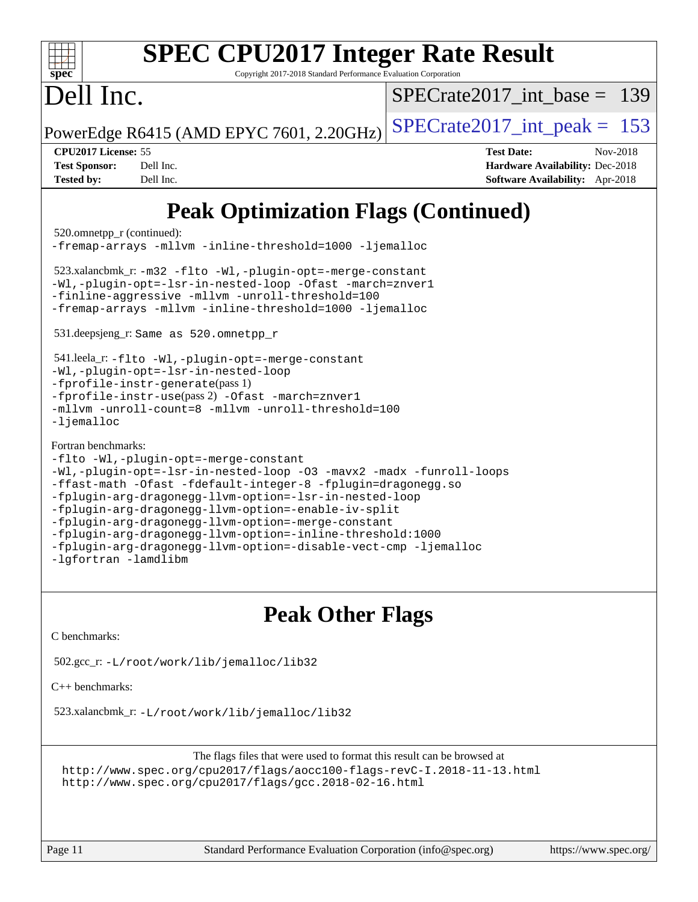| <b>SPEC CPU2017 Integer Rate Result</b><br>spec<br>Copyright 2017-2018 Standard Performance Evaluation Corporation                                                                                                                                                                                                                                                                                                                                                                                                                                                                                                                                                                     |                                    |
|----------------------------------------------------------------------------------------------------------------------------------------------------------------------------------------------------------------------------------------------------------------------------------------------------------------------------------------------------------------------------------------------------------------------------------------------------------------------------------------------------------------------------------------------------------------------------------------------------------------------------------------------------------------------------------------|------------------------------------|
| Dell Inc.                                                                                                                                                                                                                                                                                                                                                                                                                                                                                                                                                                                                                                                                              | $SPECrate2017\_int\_base =$<br>139 |
| PowerEdge R6415 (AMD EPYC 7601, 2.20GHz)                                                                                                                                                                                                                                                                                                                                                                                                                                                                                                                                                                                                                                               | $SPECrate2017\_int\_peak = 153$    |
| CPU2017 License: 55                                                                                                                                                                                                                                                                                                                                                                                                                                                                                                                                                                                                                                                                    | <b>Test Date:</b><br>Nov-2018      |
| <b>Test Sponsor:</b><br>Dell Inc.                                                                                                                                                                                                                                                                                                                                                                                                                                                                                                                                                                                                                                                      | Hardware Availability: Dec-2018    |
| <b>Tested by:</b><br>Dell Inc.                                                                                                                                                                                                                                                                                                                                                                                                                                                                                                                                                                                                                                                         | Software Availability: Apr-2018    |
| <b>Peak Optimization Flags (Continued)</b><br>520.omnetpp_r (continued):<br>-fremap-arrays -mllvm -inline-threshold=1000 -ljemalloc<br>523.xalancbmk_r: -m32 -flto -Wl,-plugin-opt=-merge-constant<br>-Wl,-plugin-opt=-lsr-in-nested-loop -Ofast -march=znver1<br>-finline-aggressive -mllvm -unroll-threshold=100<br>-fremap-arrays -mllvm -inline-threshold=1000 -ljemalloc<br>531.deepsjeng_r: Same as 520.omnetpp_r<br>541.leela_r: -flto -Wl,-plugin-opt=-merge-constant<br>-Wl,-plugin-opt=-lsr-in-nested-loop<br>$-fprofile-instr-generate(pass 1)$<br>-fprofile-instr-use(pass 2) -Ofast -march=znver1<br>-mllvm -unroll-count=8 -mllvm -unroll-threshold=100<br>$-lj$ emalloc |                                    |
| Fortran benchmarks:<br>-flto -Wl,-plugin-opt=-merge-constant<br>-Wl,-plugin-opt=-lsr-in-nested-loop -03 -mavx2 -madx -funroll-loops<br>-ffast-math -Ofast -fdefault-integer-8 -fplugin=dragonegg.so<br>-fplugin-arg-dragonegg-llvm-option=-lsr-in-nested-loop<br>-fplugin-arg-dragonegg-llvm-option=-enable-iv-split<br>-fplugin-arg-dragonegg-llvm-option=-merge-constant<br>-fplugin-arg-dragonegg-llvm-option=-inline-threshold:1000                                                                                                                                                                                                                                                |                                    |

### **[Peak Other Flags](http://www.spec.org/auto/cpu2017/Docs/result-fields.html#PeakOtherFlags)**

[C benchmarks](http://www.spec.org/auto/cpu2017/Docs/result-fields.html#Cbenchmarks):

[-lgfortran](http://www.spec.org/cpu2017/results/res2018q4/cpu2017-20181210-10172.flags.html#user_FCpeak_F-lgfortran) [-lamdlibm](http://www.spec.org/cpu2017/results/res2018q4/cpu2017-20181210-10172.flags.html#user_FCpeak_F-lamdlibm)

502.gcc\_r: [-L/root/work/lib/jemalloc/lib32](http://www.spec.org/cpu2017/results/res2018q4/cpu2017-20181210-10172.flags.html#user_peakEXTRA_LIBS502_gcc_r_Link_path_ed592dae44e5c1ab08e0623a53d3c5a4c6e35be404d5d0c77aec9324965777ec819518e6bc9b505d0969c714b6f83ef377306a01beedec47148c3dcded825687)

[C++ benchmarks:](http://www.spec.org/auto/cpu2017/Docs/result-fields.html#CXXbenchmarks)

523.xalancbmk\_r: [-L/root/work/lib/jemalloc/lib32](http://www.spec.org/cpu2017/results/res2018q4/cpu2017-20181210-10172.flags.html#user_peakEXTRA_LIBS523_xalancbmk_r_Link_path_ed592dae44e5c1ab08e0623a53d3c5a4c6e35be404d5d0c77aec9324965777ec819518e6bc9b505d0969c714b6f83ef377306a01beedec47148c3dcded825687)

The flags files that were used to format this result can be browsed at <http://www.spec.org/cpu2017/flags/aocc100-flags-revC-I.2018-11-13.html> <http://www.spec.org/cpu2017/flags/gcc.2018-02-16.html>

[-fplugin-arg-dragonegg-llvm-option=-disable-vect-cmp](http://www.spec.org/cpu2017/results/res2018q4/cpu2017-20181210-10172.flags.html#user_FCpeak_disable-vect-cmp_d119dd6f96524d64dc477d5e6a72268aebe046b42f767098038bf7530fc0cc546dd329b2376104fde185baca14f7365ef86ccd3ff602b57a7839de005478f594) [-ljemalloc](http://www.spec.org/cpu2017/results/res2018q4/cpu2017-20181210-10172.flags.html#user_FCpeak_jemalloc-lib_d1249b907c500fa1c0672f44f562e3d0f79738ae9e3c4a9c376d49f265a04b9c99b167ecedbf6711b3085be911c67ff61f150a17b3472be731631ba4d0471706)